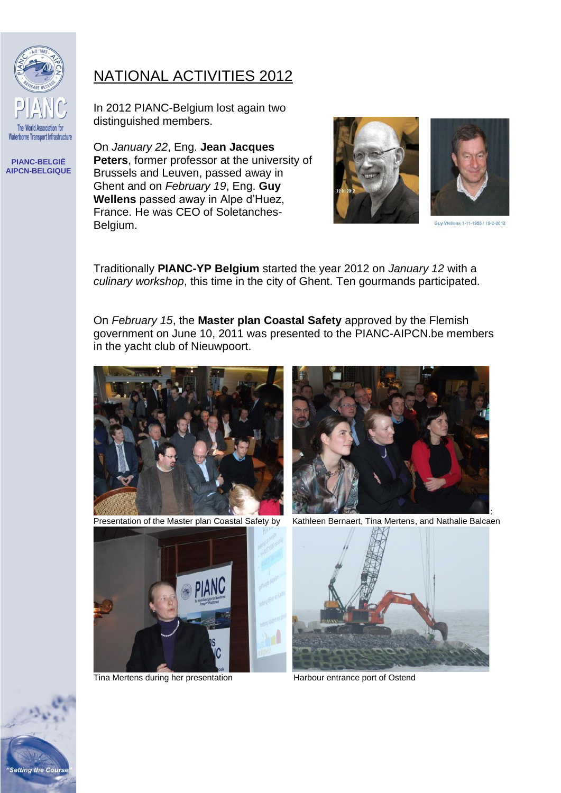

**Setting the Cours** 

## NATIONAL ACTIVITIES 2012

In 2012 PIANC-Belgium lost again two distinguished members.

On *January 22*, Eng. **Jean Jacques Peters**, former professor at the university of Brussels and Leuven, passed away in Ghent and on *February 19*, Eng. **Guy Wellens** passed away in Alpe d'Huez, France. He was CEO of Soletanches-Belgium.



Guy Wellens 1-11-1955 / 19-2-2012

Traditionally **PIANC-YP Belgium** started the year 2012 on *January 12* with a *culinary workshop*, this time in the city of Ghent. Ten gourmands participated.

On *February 15*, the **Master plan Coastal Safety** approved by the Flemish government on June 10, 2011 was presented to the PIANC-AIPCN.be members in the yacht club of Nieuwpoort.



Presentation of the Master plan Coastal Safety by



Kathleen Bernaert, Tina Mertens, and Nathalie Balcaen



Tina Mertens during her presentation Harbour entrance port of Ostend

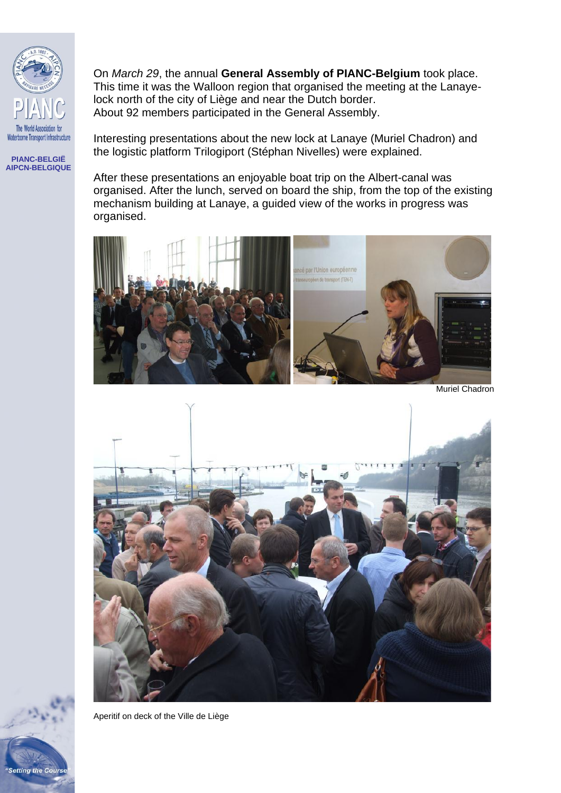

On *March 29*, the annual **General Assembly of PIANC-Belgium** took place. This time it was the Walloon region that organised the meeting at the Lanayelock north of the city of Liège and near the Dutch border. About 92 members participated in the General Assembly.

Interesting presentations about the new lock at Lanaye (Muriel Chadron) and the logistic platform Trilogiport (Stéphan Nivelles) were explained.

After these presentations an enjoyable boat trip on the Albert-canal was organised. After the lunch, served on board the ship, from the top of the existing mechanism building at Lanaye, a guided view of the works in progress was organised.



Muriel Chadron



Aperitif on deck of the Ville de Liège

**Setting the Cours**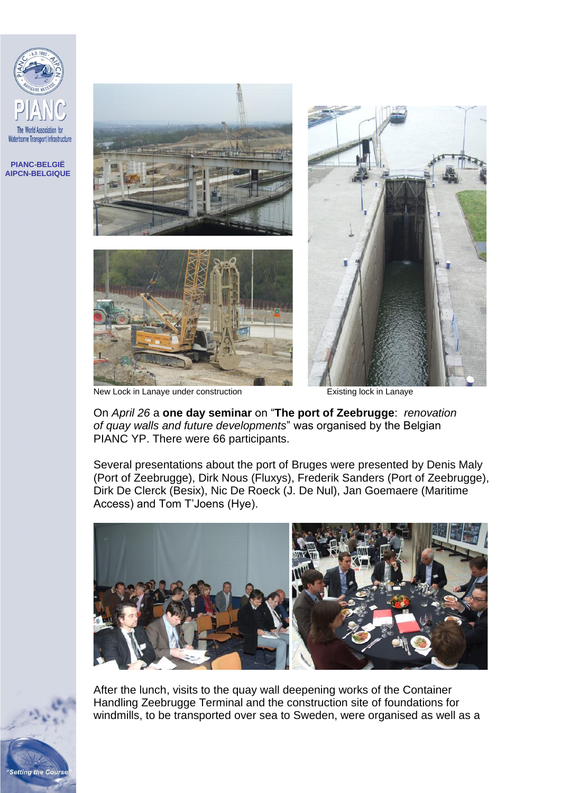

**Setting the Cours** 







New Lock in Lanaye under construction **Existing lock in Lanaye** 

On *April 26* a **one day seminar** on "**The port of Zeebrugge**: *renovation of quay walls and future developments*" was organised by the Belgian PIANC YP. There were 66 participants.

Several presentations about the port of Bruges were presented by Denis Maly (Port of Zeebrugge), Dirk Nous (Fluxys), Frederik Sanders (Port of Zeebrugge), Dirk De Clerck (Besix), Nic De Roeck (J. De Nul), Jan Goemaere (Maritime Access) and Tom T'Joens (Hye).



After the lunch, visits to the quay wall deepening works of the Container Handling Zeebrugge Terminal and the construction site of foundations for windmills, to be transported over sea to Sweden, were organised as well as a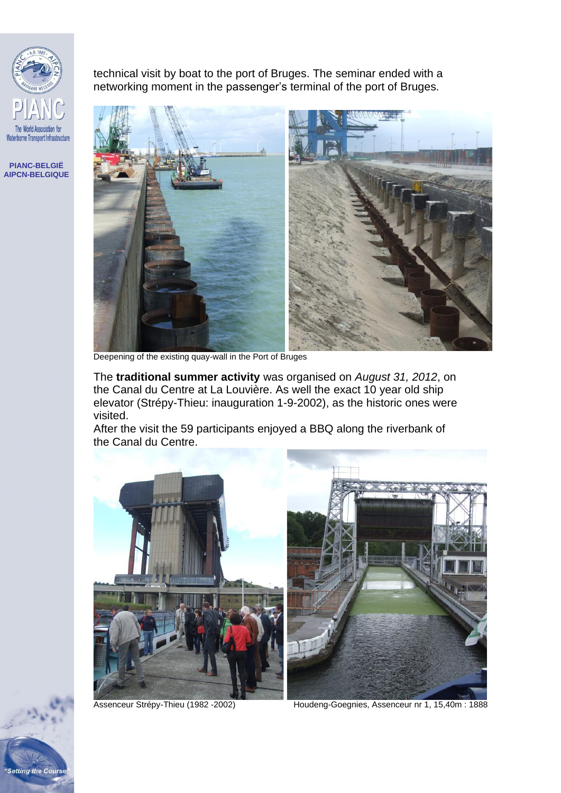

technical visit by boat to the port of Bruges. The seminar ended with a networking moment in the passenger's terminal of the port of Bruges.



Deepening of the existing quay-wall in the Port of Bruges

The **traditional summer activity** was organised on *August 31, 2012*, on the Canal du Centre at La Louvière. As well the exact 10 year old ship elevator (Strépy-Thieu: inauguration 1-9-2002), as the historic ones were visited.

After the visit the 59 participants enjoyed a BBQ along the riverbank of the Canal du Centre.



Assenceur Strépy-Thieu (1982 - 2002) Houdeng-Goegnies, Assenceur nr 1, 15,40m : 1888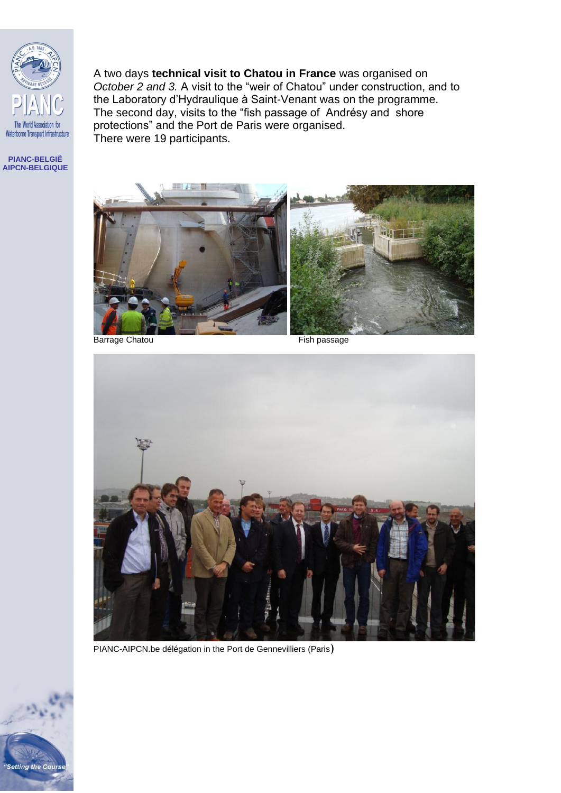

A two days **technical visit to Chatou in France** was organised on *October 2 and 3.* A visit to the "weir of Chatou" under construction, and to the Laboratory d'Hydraulique à Saint-Venant was on the programme. The second day, visits to the "fish passage of Andrésy and shore protections" and the Port de Paris were organised. There were 19 participants.

**PIANC-BELGIË AIPCN-BELGIQUE**



Barrage Chatou **Fish passage** 



PIANC-AIPCN.be délégation in the Port de Gennevilliers (Paris)

"Setting the Course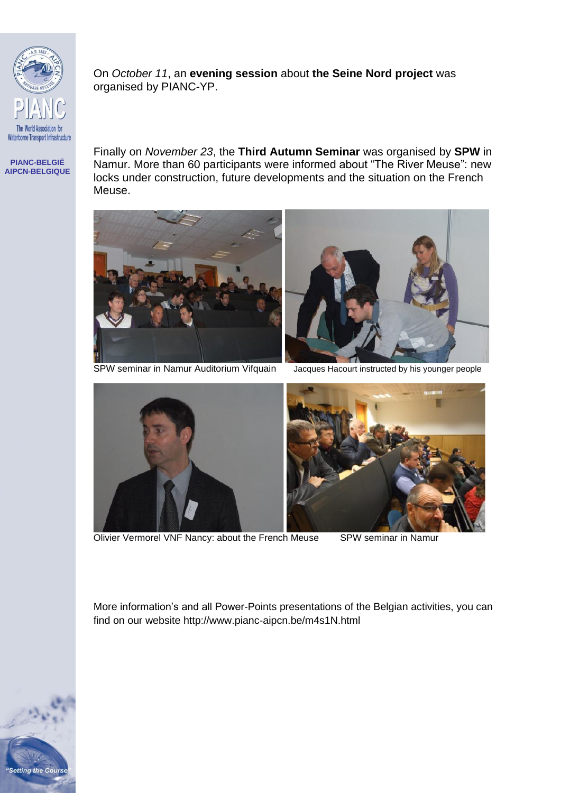

On *October 11*, an **evening session** about **the Seine Nord project** was organised by PIANC-YP.

**PIANC-BELGIË AIPCN-BELGIQUE** Finally on *November 23*, the **Third Autumn Seminar** was organised by **SPW** in Namur. More than 60 participants were informed about "The River Meuse": new locks under construction, future developments and the situation on the French Meuse.



SPW seminar in Namur Auditorium Vifquain Jacques Hacourt instructed by his younger people



Olivier Vermorel VNF Nancy: about the French Meuse SPW seminar in Namur

More information's and all Power-Points presentations of the Belgian activities, you can find on our website http://www.pianc-aipcn.be/m4s1N.html